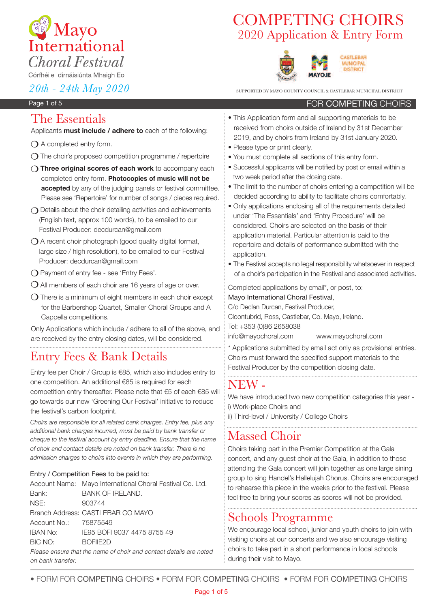

# 2020 Application & Entry Form COMPETING CHOIRS



*20th - 24th May 2020* SUPPORTED BY MAYO COUNTY COUNCIL & CASTLEBAR MUNICIPAL DISTRICT

FOR COMPETING CHOIRS

CASTLEBAR **MUNICIPAL** DISTRICT

### Page 1 of 5

## The Essentials

Applicants **must include / adhere to** each of the following:

- $\bigcirc$  A completed entry form.
- $\Omega$  The choir's proposed competition programme / repertoire
- m **Three original scores of each work** to accompany each completed entry form. **Photocopies of music will not be accepted** by any of the judging panels or festival committee. Please see 'Repertoire' for number of songs / pieces required.
- $\bigcap$  Details about the choir detailing activities and achievements (English text, approx 100 words), to be emailed to our Festival Producer: decdurcan@gmail.com
- $\bigcirc$  A recent choir photograph (good quality digital format, large size / high resolution), to be emailed to our Festival Producer: decdurcan@gmail.com
- **O** Payment of entry fee see 'Entry Fees'.
- $\bigcirc$  All members of each choir are 16 years of age or over.
- $\Omega$  There is a minimum of eight members in each choir except for the Barbershop Quartet, Smaller Choral Groups and A Cappella competitions.

Only Applications which include / adhere to all of the above, and are received by the entry closing dates, will be considered.

# Entry Fees & Bank Details

Entry fee per Choir / Group is €85, which also includes entry to one competition. An additional €85 is required for each competition entry thereafter. Please note that €5 of each €85 will go towards our new 'Greening Our Festival' initiative to reduce the festival's carbon footprint.

*Choirs are responsible for all related bank charges. Entry fee, plus any additional bank charges incurred, must be paid by bank transfer or cheque to the festival account by entry deadline. Ensure that the name of choir and contact details are noted on bank transfer. There is no admission charges to choirs into events in which they are performing.*

### Entry / Competition Fees to be paid to:

|                       | Account Name: Mayo International Choral Festival Co. Ltd.          |
|-----------------------|--------------------------------------------------------------------|
| Bank:                 | <b>BANK OF IRELAND.</b>                                            |
| NSE:                  | 903744                                                             |
|                       | Branch Address: CASTLEBAR CO MAYO                                  |
| Account No.: 75875549 |                                                                    |
| <b>IBAN No:</b>       | IE95 BOFI 9037 4475 8755 49                                        |
| BIC NO:               | BOFIF <sub>2D</sub>                                                |
|                       | Please ensure that the name of choir and contact details are note. |

Please ensure that the name of choir and contact details are noted on bank transfer.

- This Application form and all supporting materials to be received from choirs outside of Ireland by 31st December 2019, and by choirs from Ireland by 31st January 2020.
- Please type or print clearly.
- You must complete all sections of this entry form.
- Successful applicants will be notified by post or email within a two week period after the closing date.
- The limit to the number of choirs entering a competition will be decided according to ability to facilitate choirs comfortably.
- Only applications enclosing all of the requirements detailed under 'The Essentials' and 'Entry Procedure' will be considered. Choirs are selected on the basis of their application material. Particular attention is paid to the repertoire and details of performance submitted with the application.
- The Festival accepts no legal responsibility whatsoever in respect of a choir's participation in the Festival and associated activities.

Completed applications by email\*, or post, to:

Mayo International Choral Festival, C/o Declan Durcan, Festival Producer, Cloontubrid, Ross, Castlebar, Co. Mayo, Ireland. Tel: +353 (0)86 2658038 info@mayochoral.com www.mayochoral.com

\* Applications submitted by email act only as provisional entries. Choirs must forward the specified support materials to the Festival Producer by the competition closing date.

# NEW -

We have introduced two new competition categories this year i) Work-place Choirs and

ii) Third-level / University / College Choirs

# Massed Choir

Choirs taking part in the Premier Competition at the Gala concert, and any guest choir at the Gala, in addition to those attending the Gala concert will join together as one large sining group to sing Handel's Hallelujah Chorus. Choirs are encouraged to rehearse this piece in the weeks prior to the festival. Please feel free to bring your scores as scores will not be provided.

## Schools Programme

We encourage local school, junior and youth choirs to join with visiting choirs at our concerts and we also encourage visiting choirs to take part in a short performance in local schools during their visit to Mayo.

• FORM FOR ComPEting CHOIRS • FORM FOR ComPEting CHOIRS • FORM FOR ComPEting CHOIRS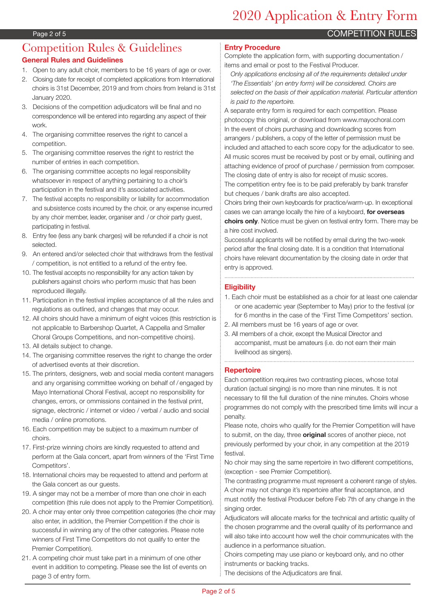# 2020 Application & Entry Form

**COMPETITION RULES** 

## Competition Rules & Guidelines **General Rules and Guidelines**

- 1. Open to any adult choir, members to be 16 years of age or over.
- 2. Closing date for receipt of completed applications from International choirs is 31st December, 2019 and from choirs from Ireland is 31st January 2020.
- 3. Decisions of the competition adjudicators will be final and no correspondence will be entered into regarding any aspect of their work.
- 4. The organising committee reserves the right to cancel a competition.
- 5. The organising committee reserves the right to restrict the number of entries in each competition.
- 6. The organising committee accepts no legal responsibility whatsoever in respect of anything pertaining to a choir's participation in the festival and it's associated activities.
- 7. The festival accepts no responsibility or liability for accommodation and subsistence costs incurred by the choir, or any expense incurred by any choir member, leader, organiser and / or choir party guest, participating in festival.
- 8. Entry fee (less any bank charges) will be refunded if a choir is not selected.
- 9. An entered and/or selected choir that withdraws from the festival / competition, is not entitled to a refund of the entry fee.
- 10. The festival accepts no responsibility for any action taken by publishers against choirs who perform music that has been reproduced illegally.
- 11. Participation in the festival implies acceptance of all the rules and regulations as outlined, and changes that may occur.
- 12. All choirs should have a minimum of eight voices (this restriction is not applicable to Barbershop Quartet, A Cappella and Smaller Choral Groups Competitions, and non-competitive choirs).
- 13. All details subject to change.
- 14. The organising committee reserves the right to change the order of advertised events at their discretion.
- 15. The printers, designers, web and social media content managers and any organising committee working on behalf of / engaged by Mayo International Choral Festival, accept no responsibility for changes, errors, or ommissions contained in the festival print, signage, electronic / internet or video / verbal / audio and social media / online promotions.
- 16. Each competition may be subject to a maximum number of choirs.
- 17. First-prize winning choirs are kindly requested to attend and perform at the Gala concert, apart from winners of the 'First Time Competitors'.
- 18. International choirs may be requested to attend and perform at the Gala concert as our guests.
- 19. A singer may not be a member of more than one choir in each competition (this rule does not apply to the Premier Competition).
- 20. A choir may enter only three competition categories (the choir may also enter, in addition, the Premier Competition if the choir is successful in winning any of the other categories. Please note winners of First Time Competitors do not qualify to enter the Premier Competition).
- 21. A competing choir must take part in a minimum of one other event in addition to competing. Please see the list of events on page 3 of entry form.

### **Entry Procedure**

Complete the application form, with supporting documentation / items and email or post to the Festival Producer.

*Only applications enclosing all of the requirements detailed under 'The Essentials' (on entry form) will be considered. Choirs are selected on the basis of their application material. Particular attention is paid to the repertoire.*

A separate entry form is required for each competition. Please photocopy this original, or download from www.mayochoral.com In the event of choirs purchasing and downloading scores from arrangers / publishers, a copy of the letter of permission must be included and attached to each score copy for the adjudicator to see. All music scores must be received by post or by email, outlining and attaching evidence of proof of purchase / permission from composer. The closing date of entry is also for receipt of music scores. The competition entry fee is to be paid preferably by bank transfer

but cheques / bank drafts are also accepted.

Choirs bring their own keyboards for practice/warm-up. In exceptional cases we can arrange locally the hire of a keyboard, **for overseas choirs only**. Notice must be given on festival entry form. There may be a hire cost involved.

Successful applicants will be notified by email during the two-week period after the final closing date. It is a condition that International choirs have relevant documentation by the closing date in order that entry is approved.

### **Eligibility**

- 1. Each choir must be established as a choir for at least one calendar or one academic year (September to May) prior to the festival (or for 6 months in the case of the 'First Time Competitors' section.
- 2. All members must be 16 years of age or over.
- 3. All members of a choir, except the Musical Director and accompanist, must be amateurs (i.e. do not earn their main livelihood as singers).

### **Repertoire**

Each competition requires two contrasting pieces, whose total duration (actual singing) is no more than nine minutes. It is not necessary to fill the full duration of the nine minutes. Choirs whose programmes do not comply with the prescribed time limits will incur a penalty.

Please note, choirs who qualify for the Premier Competition will have to submit, on the day, three **original** scores of another piece, not previously performed by your choir, in any competition at the 2019 festival.

No choir may sing the same repertoire in two different competitions, (exception - see Premier Competition).

The contrasting programme must represent a coherent range of styles. A choir may not change it's repertoire after final acceptance, and must notify the festival Producer before Feb 7th of any change in the singing order.

Adjudicators will allocate marks for the technical and artistic quality of the chosen programme and the overall quality of its performance and will also take into account how well the choir communicates with the audience in a performance situation.

Choirs competing may use piano or keyboard only, and no other instruments or backing tracks.

The decisions of the Adjudicators are final.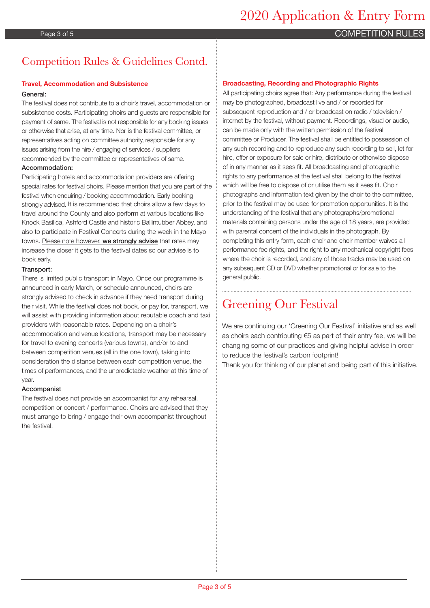## Page 3 of 5 COMPETITION RULES

# Competition Rules & Guidelines Contd.

### **Travel, Accommodation and Subsistence**

### General:

The festival does not contribute to a choir's travel, accommodation or subsistence costs. Participating choirs and guests are responsible for payment of same. The festival is not responsible for any booking issues or otherwise that arise, at any time. Nor is the festival committee, or representatives acting on committee authority, responsible for any issues arising from the hire / engaging of services / suppliers recommended by the committee or representatives of same.

#### Accommodation:

Participating hotels and accommodation providers are offering special rates for festival choirs. Please mention that you are part of the festival when enquiring / booking accommodation. Early booking strongly advised. It is recommended that choirs allow a few days to travel around the County and also perform at various locations like Knock Basilica, Ashford Castle and historic Ballintubber Abbey, and also to participate in Festival Concerts during the week in the Mayo towns. Please note however, we strongly advise that rates may increase the closer it gets to the festival dates so our advise is to book early.

#### Transport:

There is limited public transport in Mayo. Once our programme is announced in early March, or schedule announced, choirs are strongly advised to check in advance if they need transport during their visit. While the festival does not book, or pay for, transport, we will assist with providing information about reputable coach and taxi providers with reasonable rates. Depending on a choir's accommodation and venue locations, transport may be necessary for travel to evening concerts (various towns), and/or to and between competition venues (all in the one town), taking into consideration the distance between each competition venue, the times of performances, and the unpredictable weather at this time of year.

#### Accompanist

The festival does not provide an accompanist for any rehearsal, competition or concert / performance. Choirs are advised that they must arrange to bring / engage their own accompanist throughout the festival.

### **Broadcasting, Recording and Photographic Rights**

All participating choirs agree that: Any performance during the festival may be photographed, broadcast live and / or recorded for subsequent reproduction and / or broadcast on radio / television / internet by the festival, without payment. Recordings, visual or audio, can be made only with the written permission of the festival committee or Producer. The festival shall be entitled to possession of any such recording and to reproduce any such recording to sell, let for hire, offer or exposure for sale or hire, distribute or otherwise dispose of in any manner as it sees fit. All broadcasting and photographic rights to any performance at the festival shall belong to the festival which will be free to dispose of or utilise them as it sees fit. Choir photographs and information text given by the choir to the committee, prior to the festival may be used for promotion opportunities. It is the understanding of the festival that any photographs/promotional materials containing persons under the age of 18 years, are provided with parental concent of the individuals in the photograph. By completing this entry form, each choir and choir member waives all performance fee rights, and the right to any mechanical copyright fees where the choir is recorded, and any of those tracks may be used on any subsequent CD or DVD whether promotional or for sale to the general public.

# Greening Our Festival

We are continuing our 'Greening Our Festival' initiative and as well as choirs each contributing €5 as part of their entry fee, we will be changing some of our practices and giving helpful advise in order to reduce the festival's carbon footprint!

Thank you for thinking of our planet and being part of this initiative.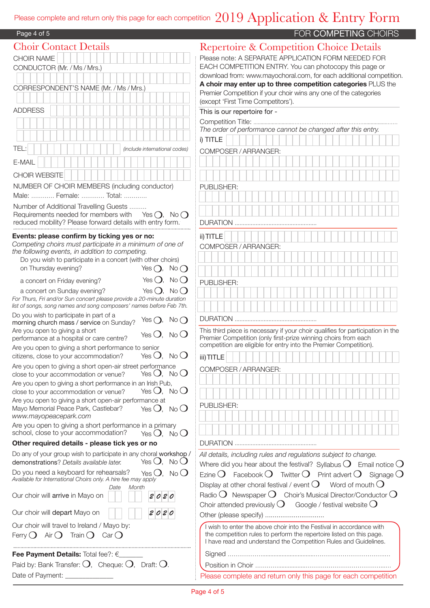# Please complete and return only this page for each competition  $\ 2019$   ${\rm Application}$  &  ${\rm Entry}$   ${\rm Form}$

| Page 4 of 5                                                                                                                       | FOR COMPETING CHOIRS                                                                                                                                                                                                                |
|-----------------------------------------------------------------------------------------------------------------------------------|-------------------------------------------------------------------------------------------------------------------------------------------------------------------------------------------------------------------------------------|
| <b>Choir Contact Details</b>                                                                                                      | <b>Repertoire &amp; Competition Choice Details</b>                                                                                                                                                                                  |
| <b>CHOIR NAME</b>                                                                                                                 | Please note: A SEPARATE APPLICATION FORM NEEDED FOR                                                                                                                                                                                 |
| CONDUCTOR (Mr. / Ms / Mrs.)                                                                                                       | EACH COMPETITION ENTRY. You can photocopy this page or                                                                                                                                                                              |
|                                                                                                                                   | download from: www.mayochoral.com, for each additional competitio                                                                                                                                                                   |
| CORRESPONDENT'S NAME (Mr. / Ms / Mrs.)                                                                                            | A choir may enter up to three competition categories PLUS the                                                                                                                                                                       |
|                                                                                                                                   | Premier Competition if your choir wins any one of the categories<br>(except 'First Time Competitors').                                                                                                                              |
| <b>ADDRESS</b>                                                                                                                    | This is our repertoire for -                                                                                                                                                                                                        |
|                                                                                                                                   |                                                                                                                                                                                                                                     |
|                                                                                                                                   | The order of performance cannot be changed after this entry.                                                                                                                                                                        |
|                                                                                                                                   | i) TITLE                                                                                                                                                                                                                            |
| TEL:<br>(include international codes)                                                                                             | COMPOSER / ARRANGER:                                                                                                                                                                                                                |
| E-MAIL                                                                                                                            |                                                                                                                                                                                                                                     |
| CHOIR WEBSITE                                                                                                                     |                                                                                                                                                                                                                                     |
| NUMBER OF CHOIR MEMBERS (including conductor)                                                                                     | <b>PUBLISHER:</b>                                                                                                                                                                                                                   |
| Male:  Female:  Total:                                                                                                            |                                                                                                                                                                                                                                     |
| Number of Additional Travelling Guests                                                                                            |                                                                                                                                                                                                                                     |
| Requirements needed for members with Yes $\bigcap$ , No $\bigcap$                                                                 |                                                                                                                                                                                                                                     |
| reduced mobility? Please forward details with entry form.                                                                         | <b>DURATION</b>                                                                                                                                                                                                                     |
| Events: please confirm by ticking yes or no:                                                                                      | ii) TITLE                                                                                                                                                                                                                           |
| Competing choirs must participate in a minimum of one of                                                                          | COMPOSER / ARRANGER:                                                                                                                                                                                                                |
| the following events, in addition to competing.<br>Do you wish to participate in a concert (with other choirs)                    |                                                                                                                                                                                                                                     |
| on Thursday evening?<br>Yes $\bigcap$ , No $\bigcap$                                                                              |                                                                                                                                                                                                                                     |
| Yes $O$ , No $O$<br>a concert on Friday evening?                                                                                  |                                                                                                                                                                                                                                     |
| Yes $O$ , No $O$<br>a concert on Sunday evening?                                                                                  | PUBLISHER:                                                                                                                                                                                                                          |
| For Thurs, Fri and/or Sun concert please provide a 20-minute duration                                                             |                                                                                                                                                                                                                                     |
| list of songs, song names and song composers' names before Feb 7th.                                                               |                                                                                                                                                                                                                                     |
| Do you wish to participate in part of a<br>Yes $\bigcap$ , No $\bigcap$<br>morning church mass / service on Sunday?               |                                                                                                                                                                                                                                     |
| Are you open to giving a short<br>Yes $O$ , No $O$                                                                                | This third piece is necessary if your choir qualifies for participation in the                                                                                                                                                      |
| performance at a hospital or care centre?                                                                                         | Premier Competition (only first-prize winning choirs from each<br>competition are eligible for entry into the Premier Competition).                                                                                                 |
| Are you open to giving a short performance to senior<br>Yes $O$ , No $O$<br>citizens, close to your accommodation?                | iii) TITLE <b>The Fig. 1</b> The Time of the Time of the Time of the Time of the Time of the Time of the Time of the Time of the Time of the Time of the Time of the Time of the Time of the Time of the Time of the Time of the Ti |
| Are you open to giving a short open-air street performance                                                                        |                                                                                                                                                                                                                                     |
| Yes $O$ , No $O$<br>close to your accommodation or venue?                                                                         | COMPOSER / ARRANGER:                                                                                                                                                                                                                |
| Are you open to giving a short performance in an Irish Pub,                                                                       |                                                                                                                                                                                                                                     |
| Yes $O$ , No $O$<br>close to your accommodation or venue?                                                                         |                                                                                                                                                                                                                                     |
| Are you open to giving a short open-air performance at<br>Yes $O$ , No $O$<br>Mayo Memorial Peace Park, Castlebar?                | <b>PUBLISHER:</b>                                                                                                                                                                                                                   |
| www.mayopeacepark.com                                                                                                             |                                                                                                                                                                                                                                     |
| Are you open to giving a short performance in a primary                                                                           |                                                                                                                                                                                                                                     |
| school, close to your accommodation?<br>Yes $O$ , No $O$                                                                          |                                                                                                                                                                                                                                     |
| Other required details - please tick yes or no                                                                                    |                                                                                                                                                                                                                                     |
| Do any of your group wish to participate in any choral workshop /<br>Yes $O$ , No $O$<br>demonstrations? Details available later. | All details, including rules and regulations subject to change.                                                                                                                                                                     |
| Do you need a keyboard for rehearsals?<br>Yes $O$ , No $O$                                                                        | Where did you hear about the festival? Syllabus $O$ Email notice (                                                                                                                                                                  |
| Available for International Choirs only. A hire fee may apply                                                                     | Ezine $O$ Facebook $O$ Twitter $O$ Print advert $O$<br>Signage (                                                                                                                                                                    |
| Month<br>Date                                                                                                                     | Display at other choral festival / event $O$ Word of mouth $O$                                                                                                                                                                      |
| Our choir will arrive in Mayo on<br>2020                                                                                          | Radio $\bigcirc$ Newspaper $\bigcirc$ Choir's Musical Director/Conductor $\bigcirc$<br>Choir attended previously $O$ Google / festival website $O$                                                                                  |
| 2020<br>Our choir will depart Mayo on                                                                                             |                                                                                                                                                                                                                                     |
| Our choir will travel to Ireland / Mayo by:                                                                                       |                                                                                                                                                                                                                                     |
| Ferry $O$ Air $O$ Train $O$<br>Car()                                                                                              | I wish to enter the above choir into the Festival in accordance with<br>the competition rules to perform the repertoire listed on this page.                                                                                        |
|                                                                                                                                   | I have read and understand the Competition Rules and Guidelines.                                                                                                                                                                    |
| Fee Payment Details: Total fee?: €                                                                                                |                                                                                                                                                                                                                                     |
| Paid by: Bank Transfer: $O$ , Cheque: $O$ , Draft: $O$ .                                                                          |                                                                                                                                                                                                                                     |
| Date of Payment: _______________                                                                                                  | Please complete and return only this page for each competition                                                                                                                                                                      |

| FOR COMPETING CHOIRS                                                                                                                                                                                                  |
|-----------------------------------------------------------------------------------------------------------------------------------------------------------------------------------------------------------------------|
| <b>Repertoire &amp; Competition Choice Details</b>                                                                                                                                                                    |
| Please note: A SEPARATE APPLICATION FORM NEEDED FOR                                                                                                                                                                   |
| EACH COMPETITION ENTRY. You can photocopy this page or                                                                                                                                                                |
| download from: www.mayochoral.com, for each additional competition.<br>A choir may enter up to three competition categories PLUS the                                                                                  |
| Premier Competition if your choir wins any one of the categories                                                                                                                                                      |
| (except 'First Time Competitors').                                                                                                                                                                                    |
| This is our repertoire for -                                                                                                                                                                                          |
| Competition Title:<br>The order of performance cannot be changed after this entry.                                                                                                                                    |
| i) TITLE                                                                                                                                                                                                              |
| COMPOSER / ARRANGER:                                                                                                                                                                                                  |
|                                                                                                                                                                                                                       |
|                                                                                                                                                                                                                       |
| <b>PUBLISHER:</b>                                                                                                                                                                                                     |
|                                                                                                                                                                                                                       |
|                                                                                                                                                                                                                       |
|                                                                                                                                                                                                                       |
| $DI$ JRATION                                                                                                                                                                                                          |
| ii) TITLE                                                                                                                                                                                                             |
| COMPOSER / ARRANGER:                                                                                                                                                                                                  |
|                                                                                                                                                                                                                       |
|                                                                                                                                                                                                                       |
| PUBLISHER:                                                                                                                                                                                                            |
|                                                                                                                                                                                                                       |
|                                                                                                                                                                                                                       |
|                                                                                                                                                                                                                       |
| $DI$ JRATION                                                                                                                                                                                                          |
| This third piece is necessary if your choir qualifies for participation in the<br>Premier Competition (only first-prize winning choirs from each<br>competition are eligible for entry into the Premier Competition). |
| iii) TITLE                                                                                                                                                                                                            |
| COMPOSER / ARRANGER:                                                                                                                                                                                                  |
|                                                                                                                                                                                                                       |
|                                                                                                                                                                                                                       |
|                                                                                                                                                                                                                       |
| <b>PUBLISHER:</b>                                                                                                                                                                                                     |
|                                                                                                                                                                                                                       |
|                                                                                                                                                                                                                       |
| DURATION.                                                                                                                                                                                                             |
| All details, including rules and regulations subject to change.                                                                                                                                                       |
| Where did you hear about the festival? Syllabus $O$ Email notice $O$                                                                                                                                                  |
| Ezine $O$ Facebook $O$ Twitter $O$ Print advert $O$ Signage $O$                                                                                                                                                       |
| Display at other choral festival / event $O$ Word of mouth $O$                                                                                                                                                        |
| Radio $\bigcirc$ Newspaper $\bigcirc$ Choir's Musical Director/Conductor $\bigcirc$                                                                                                                                   |
| Choir attended previously $O$ Google / festival website $O$                                                                                                                                                           |
| Other (please specify)                                                                                                                                                                                                |
| I wish to enter the above choir into the Festival in accordance with<br>the competition rules to perform the repertoire listed on this page.<br>I have read and understand the Competition Rules and Guidelines.      |
|                                                                                                                                                                                                                       |